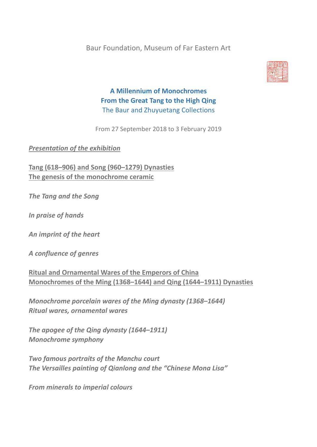Baur Foundation, Museum of Far Eastern Art



# **A Millennium of Monochromes From the Great Tang to the High Qing** The Baur and Zhuyuetang Collections

From 27 September 2018 to 3 February 2019

*Presentation of the exhibition*

**Tang (618–906) and Song (960–1279) Dynasties The genesis of the monochrome ceramic**

*The Tang and the Song*

*In praise of hands*

*An imprint of the heart*

*A confluence of genres*

**Ritual and Ornamental Wares of the Emperors of China Monochromes of the Ming (1368–1644) and Qing (1644–1911) Dynasties**

*Monochrome porcelain wares of the Ming dynasty (1368–1644) Ritual wares, ornamental wares*

*The apogee of the Qing dynasty (1644–1911) Monochrome symphony*

*Two famous portraits of the Manchu court The Versailles painting of Qianlong and the "Chinese Mona Lisa"*

*From minerals to imperial colours*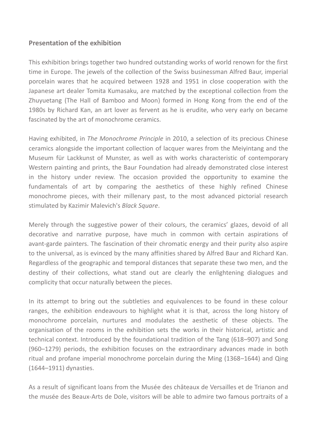### **Presentation of the exhibition**

This exhibition brings together two hundred outstanding works of world renown for the first time in Europe. The jewels of the collection of the Swiss businessman Alfred Baur, imperial porcelain wares that he acquired between 1928 and 1951 in close cooperation with the Japanese art dealer Tomita Kumasaku, are matched by the exceptional collection from the Zhuyuetang (The Hall of Bamboo and Moon) formed in Hong Kong from the end of the 1980s by Richard Kan, an art lover as fervent as he is erudite, who very early on became fascinated by the art of monochrome ceramics.

Having exhibited, in *The Monochrome Principle* in 2010, a selection of its precious Chinese ceramics alongside the important collection of lacquer wares from the Meiyintang and the Museum für Lackkunst of Munster, as well as with works characteristic of contemporary Western painting and prints, the Baur Foundation had already demonstrated close interest in the history under review. The occasion provided the opportunity to examine the fundamentals of art by comparing the aesthetics of these highly refined Chinese monochrome pieces, with their millenary past, to the most advanced pictorial research stimulated by Kazimir Malevich's *Black Square*.

Merely through the suggestive power of their colours, the ceramics' glazes, devoid of all decorative and narrative purpose, have much in common with certain aspirations of avant-garde painters. The fascination of their chromatic energy and their purity also aspire to the universal, as is evinced by the many affinities shared by Alfred Baur and Richard Kan. Regardless of the geographic and temporal distances that separate these two men, and the destiny of their collections, what stand out are clearly the enlightening dialogues and complicity that occur naturally between the pieces.

In its attempt to bring out the subtleties and equivalences to be found in these colour ranges, the exhibition endeavours to highlight what it is that, across the long history of monochrome porcelain, nurtures and modulates the aesthetic of these objects. The organisation of the rooms in the exhibition sets the works in their historical, artistic and technical context. Introduced by the foundational tradition of the Tang (618–907) and Song (960–1279) periods, the exhibition focuses on the extraordinary advances made in both ritual and profane imperial monochrome porcelain during the Ming (1368–1644) and Qing (1644–1911) dynasties.

As a result of significant loans from the Musée des châteaux de Versailles et de Trianon and the musée des Beaux-Arts de Dole, visitors will be able to admire two famous portraits of a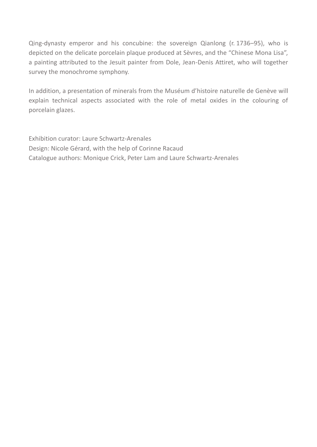Qing-dynasty emperor and his concubine: the sovereign Qianlong (r. 1736–95), who is depicted on the delicate porcelain plaque produced at Sèvres, and the "Chinese Mona Lisa", a painting attributed to the Jesuit painter from Dole, Jean-Denis Attiret, who will together survey the monochrome symphony.

In addition, a presentation of minerals from the Muséum d'histoire naturelle de Genève will explain technical aspects associated with the role of metal oxides in the colouring of porcelain glazes.

Exhibition curator: Laure Schwartz-Arenales Design: Nicole Gérard, with the help of Corinne Racaud Catalogue authors: Monique Crick, Peter Lam and Laure Schwartz-Arenales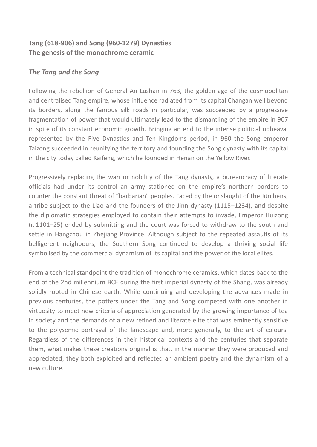### **Tang (618-906) and Song (960-1279) Dynasties The genesis of the monochrome ceramic**

### *The Tang and the Song*

Following the rebellion of General An Lushan in 763, the golden age of the cosmopolitan and centralised Tang empire, whose influence radiated from its capital Changan well beyond its borders, along the famous silk roads in particular, was succeeded by a progressive fragmentation of power that would ultimately lead to the dismantling of the empire in 907 in spite of its constant economic growth. Bringing an end to the intense political upheaval represented by the Five Dynasties and Ten Kingdoms period, in 960 the Song emperor Taizong succeeded in reunifying the territory and founding the Song dynasty with its capital in the city today called Kaifeng, which he founded in Henan on the Yellow River.

Progressively replacing the warrior nobility of the Tang dynasty, a bureaucracy of literate officials had under its control an army stationed on the empire's northern borders to counter the constant threat of "barbarian" peoples. Faced by the onslaught of the Jürchens, a tribe subject to the Liao and the founders of the Jinn dynasty (1115–1234), and despite the diplomatic strategies employed to contain their attempts to invade, Emperor Huizong (r. 1101–25) ended by submitting and the court was forced to withdraw to the south and settle in Hangzhou in Zhejiang Province. Although subject to the repeated assaults of its belligerent neighbours, the Southern Song continued to develop a thriving social life symbolised by the commercial dynamism of its capital and the power of the local elites.

From a technical standpoint the tradition of monochrome ceramics, which dates back to the end of the 2nd millennium BCE during the first imperial dynasty of the Shang, was already solidly rooted in Chinese earth. While continuing and developing the advances made in previous centuries, the potters under the Tang and Song competed with one another in virtuosity to meet new criteria of appreciation generated by the growing importance of tea in society and the demands of a new refined and literate elite that was eminently sensitive to the polysemic portrayal of the landscape and, more generally, to the art of colours. Regardless of the differences in their historical contexts and the centuries that separate them, what makes these creations original is that, in the manner they were produced and appreciated, they both exploited and reflected an ambient poetry and the dynamism of a new culture.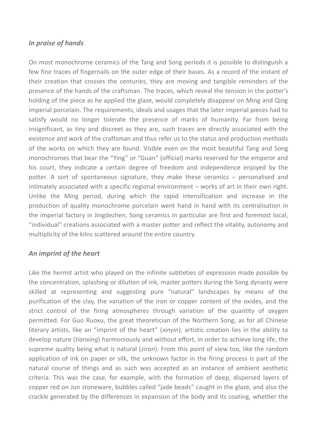### *In praise of hands*

On most monochrome ceramics of the Tang and Song periods it is possible to distinguish a few fine traces of fingernails on the outer edge of their bases. As a record of the instant of their creation that crosses the centuries, they are moving and tangible reminders of the presence of the hands of the craftsman. The traces, which reveal the tension in the potter's holding of the piece as he applied the glaze, would completely disappear on Ming and Qing imperial porcelain. The requirements, ideals and usages that the later imperial pieces had to satisfy would no longer tolerate the presence of marks of humanity. Far from being insignificant, as tiny and discreet as they are, such traces are directly associated with the existence and work of the craftsman and thus refer us to the status and production methods of the works on which they are found. Visible even on the most beautiful Tang and Song monochromes that bear the "Ying" or "Guan" (official) marks reserved for the emperor and his court, they indicate a certain degree of freedom and independence enjoyed by the potter. A sort of spontaneous signature, they make these ceramics – personalised and intimately associated with a specific regional environment – works of art in their own right. Unlike the Ming period, during which the rapid intensification and increase in the production of quality monochrome porcelain went hand in hand with its centralisation in the imperial factory in Jingdezhen, Song ceramics in particular are first and foremost local, "individual" creations associated with a master potter and reflect the vitality, autonomy and multiplicity of the kilns scattered around the entire country.

### *An imprint of the heart*

Like the hermit artist who played on the infinite subtleties of expression made possible by the concentration, splashing or dilution of ink, master potters during the Song dynasty were skilled at representing and suggesting pure "natural" landscapes by means of the purification of the clay, the variation of the iron or copper content of the oxides, and the strict control of the firing atmospheres through variation of the quantity of oxygen permitted. For Guo Ruoxu, the great theoretician of the Northern Song, as for all Chinese literary artists, like an "imprint of the heart" (*xinyin*), artistic creation lies in the ability to develop nature (*tianxing*) harmoniously and without effort, in order to achieve long life, the supreme quality being what is natural (*ziran*). From this point of view too, like the random application of ink on paper or silk, the unknown factor in the firing process is part of the natural course of things and as such was accepted as an instance of ambient aesthetic criteria. This was the case, for example, with the formation of deep, dispersed layers of copper red on Jun stoneware, bubbles called "jade beads" caught in the glaze, and also the crackle generated by the differences in expansion of the body and its coating, whether the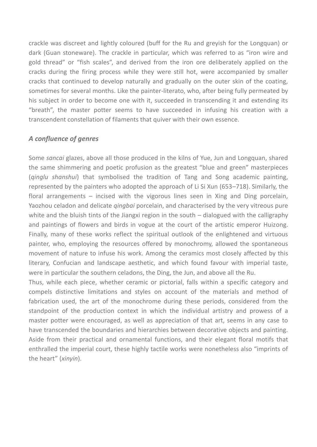crackle was discreet and lightly coloured (buff for the Ru and greyish for the Longquan) or dark (Guan stoneware). The crackle in particular, which was referred to as "iron wire and gold thread" or "fish scales", and derived from the iron ore deliberately applied on the cracks during the firing process while they were still hot, were accompanied by smaller cracks that continued to develop naturally and gradually on the outer skin of the coating, sometimes for several months. Like the painter-literato, who, after being fully permeated by his subject in order to become one with it, succeeded in transcending it and extending its "breath", the master potter seems to have succeeded in infusing his creation with a transcendent constellation of filaments that quiver with their own essence.

### *A confluence of genres*

Some *sancai* glazes, above all those produced in the kilns of Yue, Jun and Longquan, shared the same shimmering and poetic profusion as the greatest "blue and green" masterpieces (*qinglu shanshui*) that symbolised the tradition of Tang and Song academic painting, represented by the painters who adopted the approach of Li Si Xun (653–718). Similarly, the floral arrangements – incised with the vigorous lines seen in Xing and Ding porcelain, Yaozhou celadon and delicate *qingbai* porcelain, and characterised by the very vitreous pure white and the bluish tints of the Jiangxi region in the south – dialogued with the calligraphy and paintings of flowers and birds in vogue at the court of the artistic emperor Huizong. Finally, many of these works reflect the spiritual outlook of the enlightened and virtuous painter, who, employing the resources offered by monochromy, allowed the spontaneous movement of nature to infuse his work. Among the ceramics most closely affected by this literary, Confucian and landscape aesthetic, and which found favour with imperial taste, were in particular the southern celadons, the Ding, the Jun, and above all the Ru.

Thus, while each piece, whether ceramic or pictorial, falls within a specific category and compels distinctive limitations and styles on account of the materials and method of fabrication used, the art of the monochrome during these periods, considered from the standpoint of the production context in which the individual artistry and prowess of a master potter were encouraged, as well as appreciation of that art, seems in any case to have transcended the boundaries and hierarchies between decorative objects and painting. Aside from their practical and ornamental functions, and their elegant floral motifs that enthralled the imperial court, these highly tactile works were nonetheless also "imprints of the heart" (*xinyin*).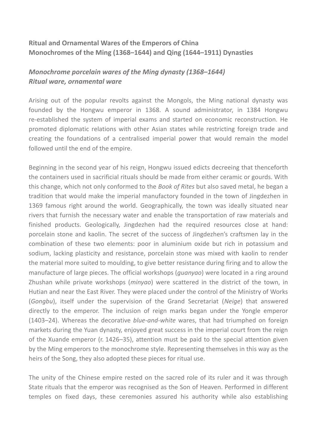### **Ritual and Ornamental Wares of the Emperors of China Monochromes of the Ming (1368–1644) and Qing (1644–1911) Dynasties**

# *Monochrome porcelain wares of the Ming dynasty (1368–1644) Ritual ware, ornamental ware*

Arising out of the popular revolts against the Mongols, the Ming national dynasty was founded by the Hongwu emperor in 1368. A sound administrator, in 1384 Hongwu re-established the system of imperial exams and started on economic reconstruction. He promoted diplomatic relations with other Asian states while restricting foreign trade and creating the foundations of a centralised imperial power that would remain the model followed until the end of the empire.

Beginning in the second year of his reign, Hongwu issued edicts decreeing that thenceforth the containers used in sacrificial rituals should be made from either ceramic or gourds. With this change, which not only conformed to the *Book of Rites* but also saved metal, he began a tradition that would make the imperial manufactory founded in the town of Jingdezhen in 1369 famous right around the world. Geographically, the town was ideally situated near rivers that furnish the necessary water and enable the transportation of raw materials and finished products. Geologically, Jingdezhen had the required resources close at hand: porcelain stone and kaolin. The secret of the success of Jingdezhen's craftsmen lay in the combination of these two elements: poor in aluminium oxide but rich in potassium and sodium, lacking plasticity and resistance, porcelain stone was mixed with kaolin to render the material more suited to moulding, to give better resistance during firing and to allow the manufacture of large pieces. The official workshops (*guanyao*) were located in a ring around Zhushan while private workshops (*minyao*) were scattered in the district of the town, in Hutian and near the East River. They were placed under the control of the Ministry of Works (*Gongbu*), itself under the supervision of the Grand Secretariat (*Neige*) that answered directly to the emperor. The inclusion of reign marks began under the Yongle emperor (1403–24). Whereas the decorative *blue-and-white* wares, that had triumphed on foreign markets during the Yuan dynasty, enjoyed great success in the imperial court from the reign of the Xuande emperor (r. 1426–35), attention must be paid to the special attention given by the Ming emperors to the monochrome style. Representing themselves in this way as the heirs of the Song, they also adopted these pieces for ritual use.

The unity of the Chinese empire rested on the sacred role of its ruler and it was through State rituals that the emperor was recognised as the Son of Heaven. Performed in different temples on fixed days, these ceremonies assured his authority while also establishing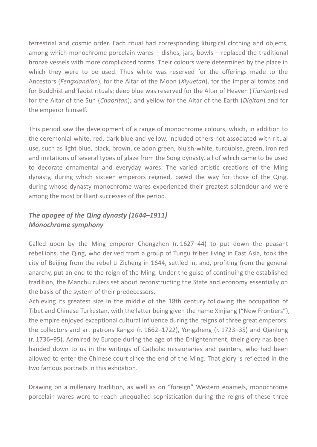terrestrial and cosmic order. Each ritual had corresponding liturgical clothing and objects, among which monochrome porcelain wares – dishes, jars, bowls – replaced the traditional bronze vessels with more complicated forms. Their colours were determined by the place in which they were to be used. Thus white was reserved for the offerings made to the Ancestors (*Fengxiandian*), for the Altar of the Moon (*Xiyuetan*), for the imperial tombs and for Buddhist and Taoist rituals; deep blue was reserved for the Altar of Heaven (*Tiantan*); red for the Altar of the Sun (*Chaoritan*); and yellow for the Altar of the Earth (*Diqitan*) and for the emperor himself.

This period saw the development of a range of monochrome colours, which, in addition to the ceremonial white, red, dark blue and yellow, included others not associated with ritual use, such as light blue, black, brown, celadon green, bluish-white, turquoise, green, iron red and imitations of several types of glaze from the Song dynasty, all of which came to be used to decorate ornamental and everyday wares. The varied artistic creations of the Ming dynasty, during which sixteen emperors reigned, paved the way for those of the Qing, during whose dynasty monochrome wares experienced their greatest splendour and were among the most brilliant successes of the period.

# *The apogee of the Qing dynasty (1644–1911) Monochrome symphony*

Called upon by the Ming emperor Chongzhen (r. 1627–44) to put down the peasant rebellions, the Qing, who derived from a group of Tungu tribes living in East Asia, took the city of Beijing from the rebel Li Zicheng in 1644, settled in, and, profiting from the general anarchy, put an end to the reign of the Ming. Under the guise of continuing the established tradition, the Manchu rulers set about reconstructing the State and economy essentially on the basis of the system of their predecessors.

Achieving its greatest size in the middle of the 18th century following the occupation of Tibet and Chinese Turkestan, with the latter being given the name Xinjiang ("New Frontiers"), the empire enjoyed exceptional cultural influence during the reigns of three great emperors: the collectors and art patrons Kangxi (r. 1662–1722), Yongzheng (r. 1723–35) and Qianlong (r. 1736–95). Admired by Europe during the age of the Enlightenment, their glory has been handed down to us in the writings of Catholic missionaries and painters, who had been allowed to enter the Chinese court since the end of the Ming. That glory is reflected in the two famous portraits in this exhibition.

Drawing on a millenary tradition, as well as on "foreign" Western enamels, monochrome porcelain wares were to reach unequalled sophistication during the reigns of these three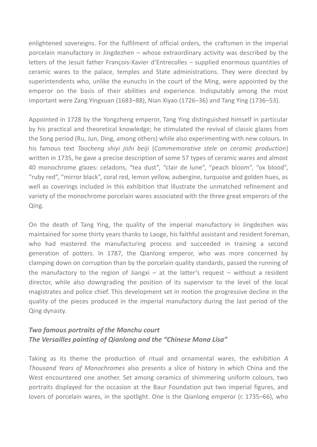enlightened sovereigns. For the fulfilment of official orders, the craftsmen in the imperial porcelain manufactory in Jingdezhen – whose extraordinary activity was described by the letters of the Jesuit father François-Xavier d'Entrecolles – supplied enormous quantities of ceramic wares to the palace, temples and State administrations. They were directed by superintendents who, unlike the eunuchs in the court of the Ming, were appointed by the emperor on the basis of their abilities and experience. Indisputably among the most important were Zang Yingxuan (1683–88), Nian Xiyao (1726–36) and Tang Ying (1736–53).

Appointed in 1728 by the Yongzheng emperor, Tang Ying distinguished himself in particular by his practical and theoretical knowledge; he stimulated the revival of classic glazes from the Song period (Ru, Jun, Ding, among others) while also experimenting with new colours. In his famous text *Taocheng shiyi jishi beiji* (*Commemorative stele on ceramic production*) written in 1735, he gave a precise description of some 57 types of ceramic wares and almost 40 monochrome glazes: celadons, "tea dust", "clair de lune", "peach bloom", "ox blood", "ruby red", "mirror black", coral red, lemon yellow, aubergine, turquoise and golden hues, as well as coverings included in this exhibition that illustrate the unmatched refinement and variety of the monochrome porcelain wares associated with the three great emperors of the Qing.

On the death of Tang Ying, the quality of the imperial manufactory in Jingdezhen was maintained for some thirty years thanks to Laoge, his faithful assistant and resident foreman, who had mastered the manufacturing process and succeeded in training a second generation of potters. In 1787, the Qianlong emperor, who was more concerned by clamping down on corruption than by the porcelain quality standards, passed the running of the manufactory to the region of Jiangxi – at the latter's request – without a resident director, while also downgrading the position of its supervisor to the level of the local magistrates and police chief. This development set in motion the progressive decline in the quality of the pieces produced in the imperial manufactory during the last period of the Qing dynasty.

### *Two famous portraits of the Manchu court The Versailles painting of Qianlong and the "Chinese Mona Lisa"*

Taking as its theme the production of ritual and ornamental wares, the exhibition *A Thousand Years of Monochromes* also presents a slice of history in which China and the West encountered one another. Set among ceramics of shimmering uniform colours, two portraits displayed for the occasion at the Baur Foundation put two imperial figures, and lovers of porcelain wares, in the spotlight. One is the Qianlong emperor (r. 1735–66), who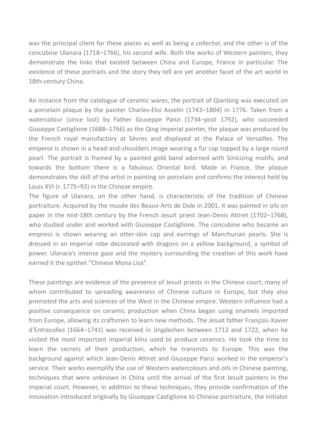was the principal client for these pieces as well as being a collector, and the other is of the concubine Ulanara (1718–1766), his second wife. Both the works of Western painters, they demonstrate the links that existed between China and Europe, France in particular. The existence of these portraits and the story they tell are yet another facet of the art world in 18th-century China.

An instance from the catalogue of ceramic wares, the portrait of Qianlong was executed on a porcelain plaque by the painter Charles-Eloi Asselin (1743–1804) in 1776. Taken from a watercolour (since lost) by Father Giuseppe Panzi (1734–post 1792), who succeeded Giuseppe Castiglione (1688–1766) as the Qing imperial painter, the plaque was produced by the French royal manufactory at Sèvres and displayed at the Palace of Versailles. The emperor is shown in a head-and-shoulders image wearing a fur cap topped by a large round pearl. The portrait is framed by a painted gold band adorned with Sinicizing motifs, and towards the bottom there is a fabulous Oriental bird. Made in France, the plaque demonstrates the skill of the artist in painting on porcelain and confirms the interest held by Louis XVI (r. 1775–93) in the Chinese empire.

The figure of Ulanara, on the other hand, is characteristic of the tradition of Chinese portraiture. Acquired by the musée des Beaux-Arts de Dole in 2001, it was painted in oils on paper in the mid-18th century by the French Jesuit priest Jean-Denis Attiret (1702–1768), who studied under and worked with Giuseppe Castiglione. The concubine who became an empress is shown wearing an otter-skin cap and earrings of Manchurian pearls. She is dressed in an imperial robe decorated with dragons on a yellow background, a symbol of power. Ulanara's intense gaze and the mystery surrounding the creation of this work have earned it the epithet "Chinese Mona Lisa".

These paintings are evidence of the presence of Jesuit priests in the Chinese court, many of whom contributed to spreading awareness of Chinese culture in Europe, but they also promoted the arts and sciences of the West in the Chinese empire. Western influence had a positive consequence on ceramic production when China began using enamels imported from Europe, allowing its craftsmen to learn new methods. The Jesuit father François-Xavier d'Entrecolles (1664–1741) was received in Jingdezhen between 1712 and 1722, when he visited the most important imperial kilns used to produce ceramics. He took the time to learn the secrets of their production, which he transmits to Europe. This was the background against which Jean-Denis Attiret and Giuseppe Panzi worked in the emperor's service. Their works exemplify the use of Western watercolours and oils in Chinese painting, techniques that were unknown in China until the arrival of the first Jesuit painters in the imperial court. However, in addition to these techniques, they provide confirmation of the innovation introduced originally by Giuseppe Castiglione to Chinese portraiture, the initiator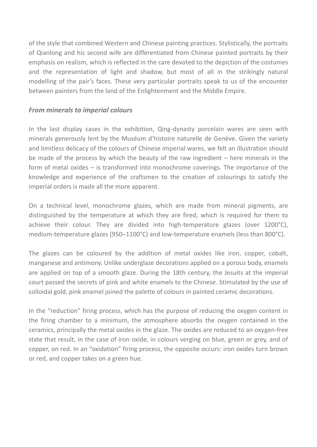of the style that combined Western and Chinese painting practices. Stylistically, the portraits of Qianlong and his second wife are differentiated from Chinese painted portraits by their emphasis on realism, which is reflected in the care devoted to the depiction of the costumes and the representation of light and shadow, but most of all in the strikingly natural modelling of the pair's faces. These very particular portraits speak to us of the encounter between painters from the land of the Enlightenment and the Middle Empire.

#### *From minerals to imperial colours*

In the last display cases in the exhibition, Qing-dynasty porcelain wares are seen with minerals generously lent by the Muséum d'histoire naturelle de Genève. Given the variety and limitless delicacy of the colours of Chinese imperial wares, we felt an illustration should be made of the process by which the beauty of the raw ingredient – here minerals in the form of metal oxides – is transformed into monochrome coverings. The importance of the knowledge and experience of the craftsmen to the creation of colourings to satisfy the imperial orders is made all the more apparent.

On a technical level, monochrome glazes, which are made from mineral pigments, are distinguished by the temperature at which they are fired, which is required for them to achieve their colour. They are divided into high-temperature glazes (over 1200°C), medium-temperature glazes (950–1100°C) and low-temperature enamels (less than 800°C).

The glazes can be coloured by the addition of metal oxides like iron, copper, cobalt, manganese and antimony. Unlike underglaze decorations applied on a porous body, enamels are applied on top of a smooth glaze. During the 18th century, the Jesuits at the imperial court passed the secrets of pink and white enamels to the Chinese. Stimulated by the use of colloidal gold, pink enamel joined the palette of colours in painted ceramic decorations.

In the "reduction" firing process, which has the purpose of reducing the oxygen content in the firing chamber to a minimum, the atmosphere absorbs the oxygen contained in the ceramics, principally the metal oxides in the glaze. The oxides are reduced to an oxygen-free state that result, in the case of iron oxide, in colours verging on blue, green or grey, and of copper, on red. In an "oxidation" firing process, the opposite occurs: iron oxides turn brown or red, and copper takes on a green hue.